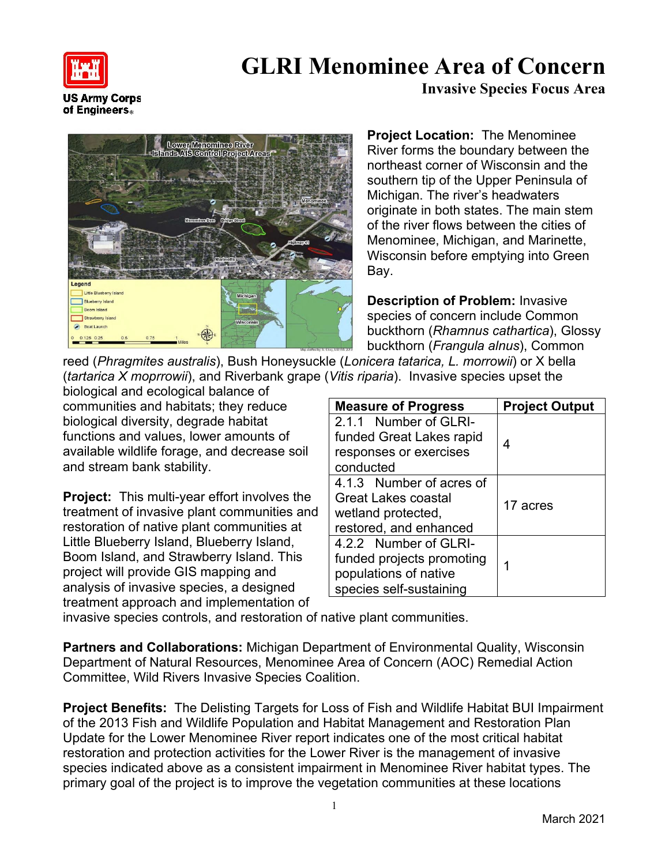

of Engineers.

## **GLRI Menominee Area of Concern**

**Invasive Species Focus Area**

**Lower Menominee River Iands AIS Control Project Area** Little B Blueberry Island **Boom Island** Strawberry Islan Boat Launch

**Project Location:** The Menominee River forms the boundary between the northeast corner of Wisconsin and the southern tip of the Upper Peninsula of Michigan. The river's headwaters originate in both states. The main stem of the river flows between the cities of Menominee, Michigan, and Marinette, Wisconsin before emptying into Green Bay.

**Description of Problem:** Invasive species of concern include Common buckthorn (*Rhamnus cathartica*), Glossy buckthorn (*Frangula alnus*), Common

reed (*Phragmites australis*), Bush Honeysuckle (*Lonicera tatarica, L. morrowii*) or X bella (*tartarica X moprrowii*), and Riverbank grape (*Vitis riparia*). Invasive species upset the

biological and ecological balance of communities and habitats; they reduce biological diversity, degrade habitat functions and values, lower amounts of available wildlife forage, and decrease soil and stream bank stability.

**Project:** This multi-year effort involves the treatment of invasive plant communities and restoration of native plant communities at Little Blueberry Island, Blueberry Island, Boom Island, and Strawberry Island. This project will provide GIS mapping and analysis of invasive species, a designed treatment approach and implementation of

| <b>Measure of Progress</b> | <b>Project Output</b> |
|----------------------------|-----------------------|
| 2.1.1 Number of GLRI-      |                       |
| funded Great Lakes rapid   | 4                     |
| responses or exercises     |                       |
| conducted                  |                       |
| 4.1.3 Number of acres of   |                       |
| Great Lakes coastal        | 17 acres              |
| wetland protected,         |                       |
| restored, and enhanced     |                       |
| 4.2.2 Number of GLRI-      |                       |
| funded projects promoting  |                       |
| populations of native      |                       |
| species self-sustaining    |                       |

invasive species controls, and restoration of native plant communities.

**Partners and Collaborations:** Michigan Department of Environmental Quality, Wisconsin Department of Natural Resources, Menominee Area of Concern (AOC) Remedial Action Committee, Wild Rivers Invasive Species Coalition.

**Project Benefits:** The Delisting Targets for Loss of Fish and Wildlife Habitat BUI Impairment of the 2013 Fish and Wildlife Population and Habitat Management and Restoration Plan Update for the Lower Menominee River report indicates one of the most critical habitat restoration and protection activities for the Lower River is the management of invasive species indicated above as a consistent impairment in Menominee River habitat types. The primary goal of the project is to improve the vegetation communities at these locations